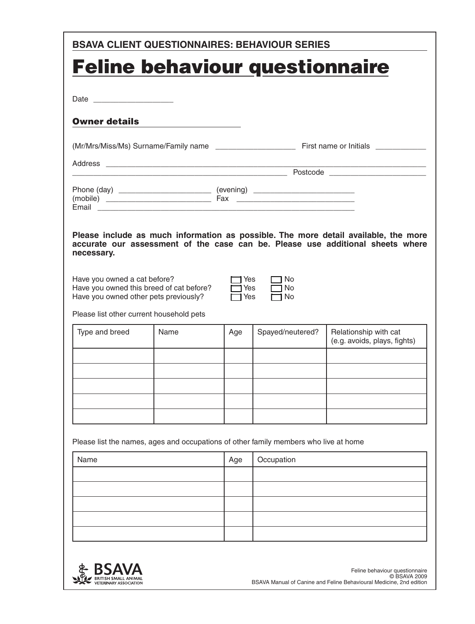| <b>BSAVA CLIENT QUESTIONNAIRES: BEHAVIOUR SERIES</b>                                                                                                          |      |                    |                          |                                                                                                                                                                       |
|---------------------------------------------------------------------------------------------------------------------------------------------------------------|------|--------------------|--------------------------|-----------------------------------------------------------------------------------------------------------------------------------------------------------------------|
| <b>Feline behaviour questionnaire</b>                                                                                                                         |      |                    |                          |                                                                                                                                                                       |
|                                                                                                                                                               |      |                    |                          |                                                                                                                                                                       |
|                                                                                                                                                               |      |                    |                          |                                                                                                                                                                       |
| <b>Owner details</b>                                                                                                                                          |      |                    |                          |                                                                                                                                                                       |
|                                                                                                                                                               |      |                    |                          |                                                                                                                                                                       |
|                                                                                                                                                               |      |                    |                          |                                                                                                                                                                       |
|                                                                                                                                                               |      |                    |                          | <b>Example 2018</b> Postcode Postcode                                                                                                                                 |
| Email                                                                                                                                                         |      |                    |                          |                                                                                                                                                                       |
| necessary.                                                                                                                                                    |      |                    |                          | Please include as much information as possible. The more detail available, the more<br>accurate our assessment of the case can be. Please use additional sheets where |
| Have you owned a cat before?<br>Have you owned this breed of cat before?<br>Have you owned other pets previously?<br>Please list other current household pets |      | Yes<br>1Yes<br>Yes | No.<br><b>No</b><br>⊣ No |                                                                                                                                                                       |
| Type and breed                                                                                                                                                | Name | Age                | Spayed/neutered?         | Relationship with cat<br>(e.g. avoids, plays, fights)                                                                                                                 |
|                                                                                                                                                               |      |                    |                          |                                                                                                                                                                       |
|                                                                                                                                                               |      |                    |                          |                                                                                                                                                                       |
|                                                                                                                                                               |      |                    |                          |                                                                                                                                                                       |
|                                                                                                                                                               |      |                    |                          |                                                                                                                                                                       |
|                                                                                                                                                               |      |                    |                          |                                                                                                                                                                       |
| Please list the names, ages and occupations of other family members who live at home                                                                          |      |                    |                          |                                                                                                                                                                       |
| Name                                                                                                                                                          |      | Age                | Occupation               |                                                                                                                                                                       |
|                                                                                                                                                               |      |                    |                          |                                                                                                                                                                       |
|                                                                                                                                                               |      |                    |                          |                                                                                                                                                                       |
|                                                                                                                                                               |      |                    |                          |                                                                                                                                                                       |
|                                                                                                                                                               |      |                    |                          |                                                                                                                                                                       |
|                                                                                                                                                               |      |                    |                          |                                                                                                                                                                       |

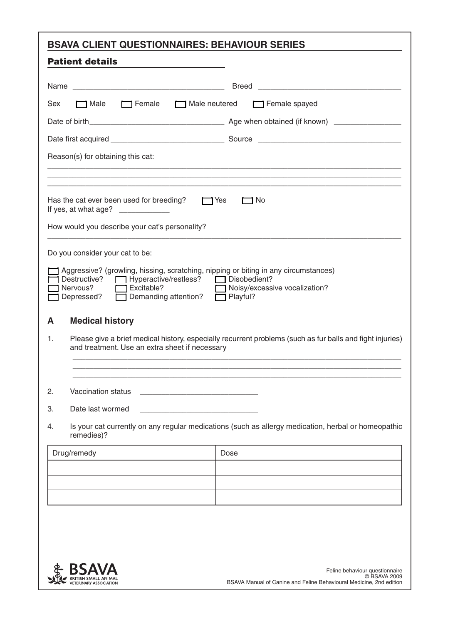| <b>BSAVA CLIENT QUESTIONNAIRES: BEHAVIOUR SERIES</b>                                                                                                                                                                                                                                                                                                                                                      |
|-----------------------------------------------------------------------------------------------------------------------------------------------------------------------------------------------------------------------------------------------------------------------------------------------------------------------------------------------------------------------------------------------------------|
| <b>Patient details</b>                                                                                                                                                                                                                                                                                                                                                                                    |
| <b>Breed</b>                                                                                                                                                                                                                                                                                                                                                                                              |
| <b>□ Male</b><br>$\Box$ Female<br>Male neutered<br>$\Box$ Female spayed<br>Sex                                                                                                                                                                                                                                                                                                                            |
|                                                                                                                                                                                                                                                                                                                                                                                                           |
|                                                                                                                                                                                                                                                                                                                                                                                                           |
| Reason(s) for obtaining this cat:                                                                                                                                                                                                                                                                                                                                                                         |
|                                                                                                                                                                                                                                                                                                                                                                                                           |
| Has the cat ever been used for breeding?<br>$\Box$ Yes<br>コ No<br>If yes, at what age? $\frac{1}{2}$ [13] $\frac{1}{2}$ [13] $\frac{1}{2}$ [13] $\frac{1}{2}$ [13] $\frac{1}{2}$ [13] $\frac{1}{2}$ [13] $\frac{1}{2}$ [13] $\frac{1}{2}$ [13] $\frac{1}{2}$ [13] $\frac{1}{2}$ [13] $\frac{1}{2}$ [13] $\frac{1}{2}$ [13] $\frac{1}{2}$ [13] $\frac{1$<br>How would you describe your cat's personality? |
| Do you consider your cat to be:<br>Aggressive? (growling, hissing, scratching, nipping or biting in any circumstances)<br>Destructive?<br>□ Hyperactive/restless? □ Disobedient?<br>Excitable?<br>Noisy/excessive vocalization?<br>Nervous?<br>Demanding attention?<br>Depressed?<br>$\Box$ Playful?                                                                                                      |
| <b>Medical history</b><br>A<br>Please give a brief medical history, especially recurrent problems (such as fur balls and fight injuries)<br>1.<br>and treatment. Use an extra sheet if necessary                                                                                                                                                                                                          |
| Vaccination status<br>2.                                                                                                                                                                                                                                                                                                                                                                                  |
| З.<br>Date last wormed                                                                                                                                                                                                                                                                                                                                                                                    |
| Is your cat currently on any regular medications (such as allergy medication, herbal or homeopathic<br>4.<br>remedies)?                                                                                                                                                                                                                                                                                   |
| Drug/remedy<br>Dose                                                                                                                                                                                                                                                                                                                                                                                       |
|                                                                                                                                                                                                                                                                                                                                                                                                           |
|                                                                                                                                                                                                                                                                                                                                                                                                           |
|                                                                                                                                                                                                                                                                                                                                                                                                           |
|                                                                                                                                                                                                                                                                                                                                                                                                           |

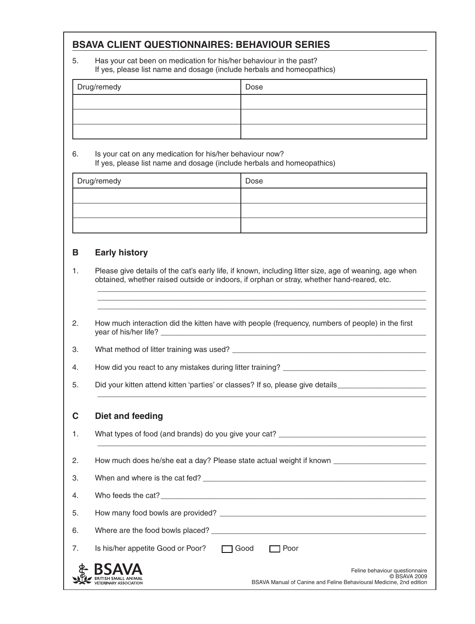5. Has your cat been on medication for his/her behaviour in the past? If yes, please list name and dosage (include herbals and homeopathics)

| Drug/remedy | Dose |
|-------------|------|
|             |      |
|             |      |
|             |      |

6. Is your cat on any medication for his/her behaviour now? If yes, please list name and dosage (include herbals and homeopathics)

| Drug/remedy | Dose |
|-------------|------|
|             |      |
|             |      |
|             |      |

#### **B Early history**

1. Please give details of the cat's early life, if known, including litter size, age of weaning, age when obtained, whether raised outside or indoors, if orphan or stray, whether hand-reared, etc.

\_\_\_\_\_\_\_\_\_\_\_\_\_\_\_\_\_\_\_\_\_\_\_\_\_\_\_\_\_\_\_\_\_\_\_\_\_\_\_\_\_\_\_\_\_\_\_\_\_\_\_\_\_\_\_\_\_\_\_\_\_\_\_\_\_\_\_\_\_\_\_\_\_\_\_\_\_\_ \_\_\_\_\_\_\_\_\_\_\_\_\_\_\_\_\_\_\_\_\_\_\_\_\_\_\_\_\_\_\_\_\_\_\_\_\_\_\_\_\_\_\_\_\_\_\_\_\_\_\_\_\_\_\_\_\_\_\_\_\_\_\_\_\_\_\_\_\_\_\_\_\_\_\_\_\_\_ \_\_\_\_\_\_\_\_\_\_\_\_\_\_\_\_\_\_\_\_\_\_\_\_\_\_\_\_\_\_\_\_\_\_\_\_\_\_\_\_\_\_\_\_\_\_\_\_\_\_\_\_\_\_\_\_\_\_\_\_\_\_\_\_\_\_\_\_\_\_\_\_\_\_\_\_\_\_

\_\_\_\_\_\_\_\_\_\_\_\_\_\_\_\_\_\_\_\_\_\_\_\_\_\_\_\_\_\_\_\_\_\_\_\_\_\_\_\_\_\_\_\_\_\_\_\_\_\_\_\_\_\_\_\_\_\_\_\_\_\_\_\_\_\_\_\_\_\_\_\_\_\_\_\_\_\_

2. How much interaction did the kitten have with people (frequency, numbers of people) in the first year of his/her life?

3. What method of litter training was used? \_\_\_\_\_\_\_\_\_\_\_\_\_\_\_\_\_\_\_\_\_\_\_\_\_\_\_\_\_\_\_\_\_\_\_\_\_\_\_\_\_\_\_\_\_\_

4. How did you react to any mistakes during litter training? \_\_\_\_\_\_\_\_\_\_\_\_\_\_\_\_\_\_\_\_\_\_\_\_\_\_\_\_\_\_\_\_\_\_

5. Did your kitten attend kitten 'parties' or classes? If so, please give details

#### **C Diet and feeding**

BRITISH SMALL ANIMAL<br>VETERINARY ASSOCIATION

|    | PICLAIN ICCAIN                                   |                                |
|----|--------------------------------------------------|--------------------------------|
| 1. |                                                  |                                |
|    |                                                  |                                |
| 2. |                                                  |                                |
| 3. |                                                  |                                |
| 4. |                                                  |                                |
| 5. |                                                  |                                |
| 6. |                                                  |                                |
| 7. | Is his/her appetite Good or Poor? 7 Good<br>Poor |                                |
|    | <b>\$ BSAVA</b>                                  | Feline behaviour questionnaire |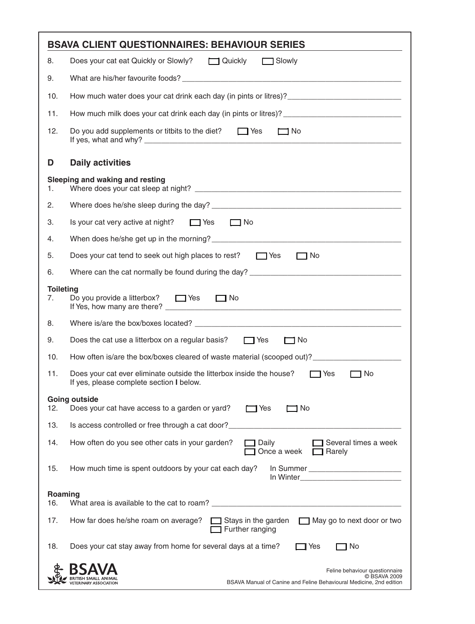|                        | <b>BSAVA CLIENT QUESTIONNAIRES: BEHAVIOUR SERIES</b>                                                                                                |
|------------------------|-----------------------------------------------------------------------------------------------------------------------------------------------------|
| 8.                     | Does your cat eat Quickly or Slowly?<br><u> </u> Quickly and Slowly                                                                                 |
| 9.                     |                                                                                                                                                     |
| 10.                    | How much water does your cat drink each day (in pints or litres)? __________________________________                                                |
| 11.                    | How much milk does your cat drink each day (in pints or litres)? ___________________________________                                                |
| 12.                    | Do you add supplements or titbits to the diet? $\Box$ Yes<br>$\Box$ No                                                                              |
| D                      | <b>Daily activities</b>                                                                                                                             |
| 1.                     | Sleeping and waking and resting                                                                                                                     |
| 2.                     |                                                                                                                                                     |
| 3.                     | Is your cat very active at night? $\Box$ Yes $\Box$ No                                                                                              |
| 4.                     | When does he/she get up in the morning?<br>The manufacturer of the morning?                                                                         |
| 5.                     | Does your cat tend to seek out high places to rest? $\Box$ Yes<br>$\Box$ No                                                                         |
| 6.                     | Where can the cat normally be found during the day? _____________________________                                                                   |
| <b>Toileting</b><br>7. | Do you provide a litterbox? $\Box$ Yes $\Box$ No                                                                                                    |
| 8.                     |                                                                                                                                                     |
| 9.                     | $\Box$ No<br>Does the cat use a litterbox on a regular basis? $\Box$ Yes                                                                            |
| 10.                    | How often is/are the box/boxes cleared of waste material (scooped out)? ____________________________                                                |
| 11.                    | Does your cat ever eliminate outside the litterbox inside the house?<br>$\Box$ Yes<br>$\Box$ No<br>If yes, please complete section I below.         |
|                        | <b>Going outside</b>                                                                                                                                |
| 12.                    | Does your cat have access to a garden or yard?<br>] No<br>Yes                                                                                       |
| 13.                    | Is access controlled or free through a cat door?                                                                                                    |
| 14.                    | Several times a week<br>How often do you see other cats in your garden?<br>Daily<br>Once a week<br>Rarely                                           |
| 15.                    | How much time is spent outdoors by your cat each day?                                                                                               |
| Roaming<br>16.         |                                                                                                                                                     |
| 17.                    | How far does he/she roam on average?<br>Stays in the garden<br>$\Box$ May go to next door or two<br>Further ranging                                 |
| 18.                    | Does your cat stay away from home for several days at a time?<br>1 No<br>Yes                                                                        |
|                        | Feline behaviour questionnaire<br>© BSAVA 2009<br>BSAVA Manual of Canine and Feline Behavioural Medicine, 2nd edition<br><b>ERINARY ASSOCIATION</b> |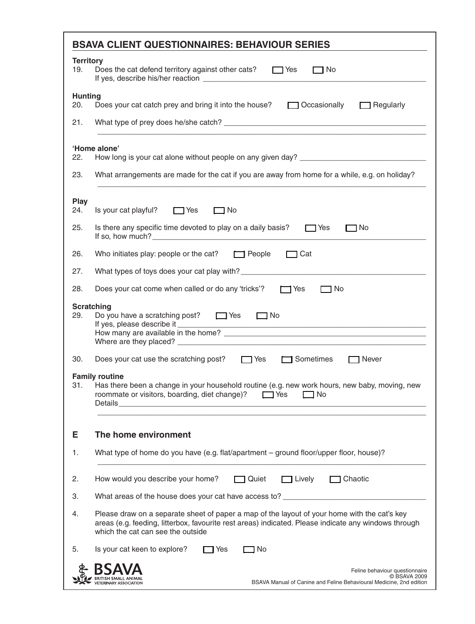| 19.<br>Does the cat defend territory against other cats?<br>$\Box$ Yes<br>$\Box$ No<br><b>Hunting</b><br>20.<br>Does your cat catch prey and bring it into the house?<br>□ Occasionally<br>$\Box$ Regularly<br>21.<br>'Home alone'<br>22.<br>23.<br>What arrangements are made for the cat if you are away from home for a while, e.g. on holiday?<br>Play<br>Is your cat playful? $\Box$ Yes<br>24.<br>$\Box$ No<br>25.<br>Is there any specific time devoted to play on a daily basis? $\Box$ Yes<br>コNo<br>If so, how much? $\frac{1}{2}$ is a set of the set of the set of the set of the set of the set of the set of the set of the set of the set of the set of the set of the set of the set of the set of the set of the set of the se<br>Cat<br>26.<br>Who initiates play: people or the cat? $\Box$ People<br>27.<br>28.<br>Does your cat come when called or do any 'tricks'?<br>$\Box$ No<br>$\Box$ Yes<br><b>Scratching</b><br>29.<br>Do you have a scratching post? $\Box$ Yes $\Box$ No<br>If yes, please describe it _________<br>Does your cat use the scratching post?<br>Tyles<br>$\Box$ Sometimes<br>30.<br>Never<br><b>Family routine</b><br>Has there been a change in your household routine (e.g. new work hours, new baby, moving, new<br>31.<br>roommate or visitors, boarding, diet change)?<br>$\Box$ Yes<br>□ No<br>Е<br>The home environment<br>What type of home do you have (e.g. flat/apartment – ground floor/upper floor, house)?<br>1.<br>How would you describe your home?<br>$\Box$ Lively<br>Chaotic<br>2.<br>□ Quiet<br>3.<br>What areas of the house does your cat have access to? __________________________<br>Please draw on a separate sheet of paper a map of the layout of your home with the cat's key<br>4.<br>areas (e.g. feeding, litterbox, favourite rest areas) indicated. Please indicate any windows through<br>which the cat can see the outside<br>5.<br>Is your cat keen to explore?<br>No.<br>Yes | <b>Territory</b> |  |  |
|----------------------------------------------------------------------------------------------------------------------------------------------------------------------------------------------------------------------------------------------------------------------------------------------------------------------------------------------------------------------------------------------------------------------------------------------------------------------------------------------------------------------------------------------------------------------------------------------------------------------------------------------------------------------------------------------------------------------------------------------------------------------------------------------------------------------------------------------------------------------------------------------------------------------------------------------------------------------------------------------------------------------------------------------------------------------------------------------------------------------------------------------------------------------------------------------------------------------------------------------------------------------------------------------------------------------------------------------------------------------------------------------------------------------------------------------------------------------------------------------------------------------------------------------------------------------------------------------------------------------------------------------------------------------------------------------------------------------------------------------------------------------------------------------------------------------------------------------------------------------------------------------------------------------------------------------------------------|------------------|--|--|
|                                                                                                                                                                                                                                                                                                                                                                                                                                                                                                                                                                                                                                                                                                                                                                                                                                                                                                                                                                                                                                                                                                                                                                                                                                                                                                                                                                                                                                                                                                                                                                                                                                                                                                                                                                                                                                                                                                                                                                |                  |  |  |
|                                                                                                                                                                                                                                                                                                                                                                                                                                                                                                                                                                                                                                                                                                                                                                                                                                                                                                                                                                                                                                                                                                                                                                                                                                                                                                                                                                                                                                                                                                                                                                                                                                                                                                                                                                                                                                                                                                                                                                |                  |  |  |
|                                                                                                                                                                                                                                                                                                                                                                                                                                                                                                                                                                                                                                                                                                                                                                                                                                                                                                                                                                                                                                                                                                                                                                                                                                                                                                                                                                                                                                                                                                                                                                                                                                                                                                                                                                                                                                                                                                                                                                |                  |  |  |
|                                                                                                                                                                                                                                                                                                                                                                                                                                                                                                                                                                                                                                                                                                                                                                                                                                                                                                                                                                                                                                                                                                                                                                                                                                                                                                                                                                                                                                                                                                                                                                                                                                                                                                                                                                                                                                                                                                                                                                |                  |  |  |
|                                                                                                                                                                                                                                                                                                                                                                                                                                                                                                                                                                                                                                                                                                                                                                                                                                                                                                                                                                                                                                                                                                                                                                                                                                                                                                                                                                                                                                                                                                                                                                                                                                                                                                                                                                                                                                                                                                                                                                |                  |  |  |
|                                                                                                                                                                                                                                                                                                                                                                                                                                                                                                                                                                                                                                                                                                                                                                                                                                                                                                                                                                                                                                                                                                                                                                                                                                                                                                                                                                                                                                                                                                                                                                                                                                                                                                                                                                                                                                                                                                                                                                |                  |  |  |
|                                                                                                                                                                                                                                                                                                                                                                                                                                                                                                                                                                                                                                                                                                                                                                                                                                                                                                                                                                                                                                                                                                                                                                                                                                                                                                                                                                                                                                                                                                                                                                                                                                                                                                                                                                                                                                                                                                                                                                |                  |  |  |
|                                                                                                                                                                                                                                                                                                                                                                                                                                                                                                                                                                                                                                                                                                                                                                                                                                                                                                                                                                                                                                                                                                                                                                                                                                                                                                                                                                                                                                                                                                                                                                                                                                                                                                                                                                                                                                                                                                                                                                |                  |  |  |
|                                                                                                                                                                                                                                                                                                                                                                                                                                                                                                                                                                                                                                                                                                                                                                                                                                                                                                                                                                                                                                                                                                                                                                                                                                                                                                                                                                                                                                                                                                                                                                                                                                                                                                                                                                                                                                                                                                                                                                |                  |  |  |
|                                                                                                                                                                                                                                                                                                                                                                                                                                                                                                                                                                                                                                                                                                                                                                                                                                                                                                                                                                                                                                                                                                                                                                                                                                                                                                                                                                                                                                                                                                                                                                                                                                                                                                                                                                                                                                                                                                                                                                |                  |  |  |
|                                                                                                                                                                                                                                                                                                                                                                                                                                                                                                                                                                                                                                                                                                                                                                                                                                                                                                                                                                                                                                                                                                                                                                                                                                                                                                                                                                                                                                                                                                                                                                                                                                                                                                                                                                                                                                                                                                                                                                |                  |  |  |
|                                                                                                                                                                                                                                                                                                                                                                                                                                                                                                                                                                                                                                                                                                                                                                                                                                                                                                                                                                                                                                                                                                                                                                                                                                                                                                                                                                                                                                                                                                                                                                                                                                                                                                                                                                                                                                                                                                                                                                |                  |  |  |
|                                                                                                                                                                                                                                                                                                                                                                                                                                                                                                                                                                                                                                                                                                                                                                                                                                                                                                                                                                                                                                                                                                                                                                                                                                                                                                                                                                                                                                                                                                                                                                                                                                                                                                                                                                                                                                                                                                                                                                |                  |  |  |
|                                                                                                                                                                                                                                                                                                                                                                                                                                                                                                                                                                                                                                                                                                                                                                                                                                                                                                                                                                                                                                                                                                                                                                                                                                                                                                                                                                                                                                                                                                                                                                                                                                                                                                                                                                                                                                                                                                                                                                |                  |  |  |
|                                                                                                                                                                                                                                                                                                                                                                                                                                                                                                                                                                                                                                                                                                                                                                                                                                                                                                                                                                                                                                                                                                                                                                                                                                                                                                                                                                                                                                                                                                                                                                                                                                                                                                                                                                                                                                                                                                                                                                |                  |  |  |
|                                                                                                                                                                                                                                                                                                                                                                                                                                                                                                                                                                                                                                                                                                                                                                                                                                                                                                                                                                                                                                                                                                                                                                                                                                                                                                                                                                                                                                                                                                                                                                                                                                                                                                                                                                                                                                                                                                                                                                |                  |  |  |
|                                                                                                                                                                                                                                                                                                                                                                                                                                                                                                                                                                                                                                                                                                                                                                                                                                                                                                                                                                                                                                                                                                                                                                                                                                                                                                                                                                                                                                                                                                                                                                                                                                                                                                                                                                                                                                                                                                                                                                |                  |  |  |
|                                                                                                                                                                                                                                                                                                                                                                                                                                                                                                                                                                                                                                                                                                                                                                                                                                                                                                                                                                                                                                                                                                                                                                                                                                                                                                                                                                                                                                                                                                                                                                                                                                                                                                                                                                                                                                                                                                                                                                |                  |  |  |
|                                                                                                                                                                                                                                                                                                                                                                                                                                                                                                                                                                                                                                                                                                                                                                                                                                                                                                                                                                                                                                                                                                                                                                                                                                                                                                                                                                                                                                                                                                                                                                                                                                                                                                                                                                                                                                                                                                                                                                |                  |  |  |
| Feline behaviour questionnaire<br>© BSAVA 2009<br>BSAVA Manual of Canine and Feline Behavioural Medicine, 2nd edition<br><b>FRINARY ASSOCIATE</b>                                                                                                                                                                                                                                                                                                                                                                                                                                                                                                                                                                                                                                                                                                                                                                                                                                                                                                                                                                                                                                                                                                                                                                                                                                                                                                                                                                                                                                                                                                                                                                                                                                                                                                                                                                                                              |                  |  |  |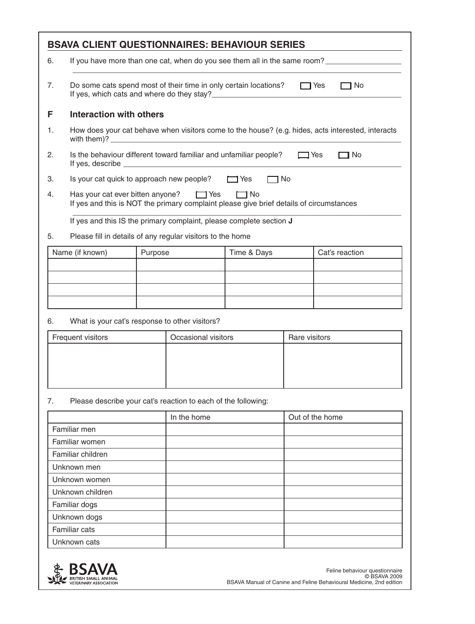|    | <b>BSAVA CLIENT QUESTIONNAIRES: BEHAVIOUR SERIES</b>                                                                                                |                                                                                                   |                  |                |
|----|-----------------------------------------------------------------------------------------------------------------------------------------------------|---------------------------------------------------------------------------------------------------|------------------|----------------|
| 6. | If you have more than one cat, when do you see them all in the same room?                                                                           |                                                                                                   |                  |                |
| 7. | Do some cats spend most of their time in only certain locations?<br>コ No<br>$\Box$ Yes                                                              |                                                                                                   |                  |                |
| F  | Interaction with others                                                                                                                             |                                                                                                   |                  |                |
| 1. |                                                                                                                                                     | How does your cat behave when visitors come to the house? (e.g. hides, acts interested, interacts |                  |                |
| 2. |                                                                                                                                                     | Is the behaviour different toward familiar and unfamiliar people?                                 | □Yes             | 1 No           |
| З. |                                                                                                                                                     | Is your cat quick to approach new people?                                                         | $\Box$ Yes<br>No |                |
| 4. | Has your cat ever bitten anyone? $\Box$ Yes<br>$\Box$ No<br>If yes and this is NOT the primary complaint please give brief details of circumstances |                                                                                                   |                  |                |
|    |                                                                                                                                                     | If yes and this IS the primary complaint, please complete section J                               |                  |                |
| 5. |                                                                                                                                                     | Please fill in details of any regular visitors to the home                                        |                  |                |
|    | Name (if known)                                                                                                                                     | Purpose                                                                                           | Time & Days      | Cat's reaction |
|    |                                                                                                                                                     |                                                                                                   |                  |                |
|    |                                                                                                                                                     |                                                                                                   |                  |                |
|    |                                                                                                                                                     |                                                                                                   |                  |                |
|    |                                                                                                                                                     |                                                                                                   |                  |                |

6. What is your cat's response to other visitors?

| Frequent visitors | Occasional visitors | Rare visitors |
|-------------------|---------------------|---------------|
|                   |                     |               |
|                   |                     |               |
|                   |                     |               |
|                   |                     |               |

#### 7. Please describe your cat's reaction to each of the following:

|                   | In the home | Out of the home |
|-------------------|-------------|-----------------|
| Familiar men      |             |                 |
| Familiar women    |             |                 |
| Familiar children |             |                 |
| Unknown men       |             |                 |
| Unknown women     |             |                 |
| Unknown children  |             |                 |
| Familiar dogs     |             |                 |
| Unknown dogs      |             |                 |
| Familiar cats     |             |                 |
| Unknown cats      |             |                 |

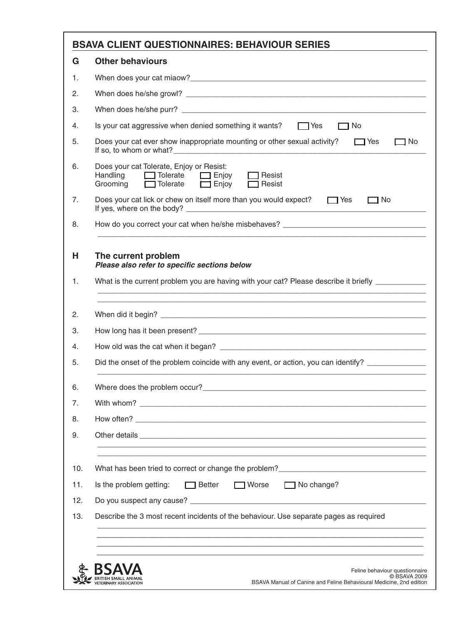| <b>BSAVA CLIENT QUESTIONNAIRES: BEHAVIOUR SERIES</b>                                                                                                                                                                           |
|--------------------------------------------------------------------------------------------------------------------------------------------------------------------------------------------------------------------------------|
| <b>Other behaviours</b>                                                                                                                                                                                                        |
|                                                                                                                                                                                                                                |
|                                                                                                                                                                                                                                |
|                                                                                                                                                                                                                                |
| Is your cat aggressive when denied something it wants? Thes<br>$\Box$ No                                                                                                                                                       |
| Does your cat ever show inappropriate mounting or other sexual activity?<br>$\Box$ Yes<br>$\Box$ No                                                                                                                            |
| Does your cat Tolerate, Enjoy or Resist:<br>Handling<br>$\Box$ Tolerate<br>  Resist<br>$\Box$ Enjoy<br>$\Box$ Tolerate<br>Grooming<br>$\Box$ Enjoy<br>$\Box$ Resist                                                            |
| Does your cat lick or chew on itself more than you would expect?<br>$\Box$ No<br>$\Box$ Yes                                                                                                                                    |
| How do you correct your cat when he/she misbehaves?                                                                                                                                                                            |
|                                                                                                                                                                                                                                |
| Did the onset of the problem coincide with any event, or action, you can identify?                                                                                                                                             |
| Where does the problem occur?_                                                                                                                                                                                                 |
|                                                                                                                                                                                                                                |
|                                                                                                                                                                                                                                |
| Other details and the control of the control of the control of the control of the control of the control of the control of the control of the control of the control of the control of the control of the control of the contr |
|                                                                                                                                                                                                                                |
| Is the problem getting:<br>$\Box$ Better<br><b>■</b> Worse<br>$\Box$ No change?                                                                                                                                                |
|                                                                                                                                                                                                                                |
| Describe the 3 most recent incidents of the behaviour. Use separate pages as required                                                                                                                                          |
|                                                                                                                                                                                                                                |
|                                                                                                                                                                                                                                |
| Feline behaviour questionnaire                                                                                                                                                                                                 |
| C BSAVA 2009<br>BSAVA Manual of Canine and Feline Behavioural Medicine, 2nd edition<br><b>FRINARY ASSOCIA</b>                                                                                                                  |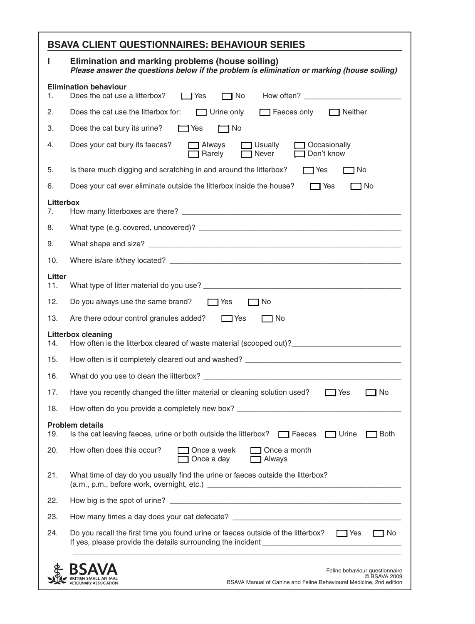| П                      | Elimination and marking problems (house soiling)<br>Please answer the questions below if the problem is elimination or marking (house soiling)        |  |  |
|------------------------|-------------------------------------------------------------------------------------------------------------------------------------------------------|--|--|
| 1.                     | <b>Elimination behaviour</b><br>Does the cat use a litterbox?<br>$\Box$ No<br>$\Box$ Yes                                                              |  |  |
| 2.                     | $\Box$ Urine only<br>Faeces only <b>I</b> Neither<br>Does the cat use the litterbox for:                                                              |  |  |
| 3.                     | Does the cat bury its urine?<br>$\Box$ No<br>$\Box$ Yes                                                                                               |  |  |
| 4.                     | Does your cat bury its faeces?<br>$\Box$ Always<br>$\Box$ Usually<br>$\Box$ Occasionally<br>Don't know<br>Rarely<br>Never                             |  |  |
| 5.                     | Is there much digging and scratching in and around the litterbox?<br>$\neg$ Yes<br>ヿNo                                                                |  |  |
| 6.                     | Does your cat ever eliminate outside the litterbox inside the house?<br>$\Box$ Yes<br>$\Box$ No                                                       |  |  |
| <b>Litterbox</b><br>7. |                                                                                                                                                       |  |  |
| 8.                     |                                                                                                                                                       |  |  |
| 9.                     |                                                                                                                                                       |  |  |
| 10.                    |                                                                                                                                                       |  |  |
| Litter<br>11.          |                                                                                                                                                       |  |  |
| 12.                    | Do you always use the same brand? $\Box$ Yes<br>ヿNo                                                                                                   |  |  |
| 13.                    | Are there odour control granules added?<br>$\Box$ Yes<br>ヿ No                                                                                         |  |  |
| 14.                    | <b>Litterbox cleaning</b><br>How often is the litterbox cleared of waste material (scooped out)?_________________________________                     |  |  |
| 15.                    |                                                                                                                                                       |  |  |
| 16.                    |                                                                                                                                                       |  |  |
| 17.                    | Have you recently changed the litter material or cleaning solution used?<br>$\Box$ Yes<br>□ No                                                        |  |  |
| 18.                    | How often do you provide a completely new box?                                                                                                        |  |  |
| 19.                    | <b>Problem details</b><br>Is the cat leaving faeces, urine or both outside the litterbox? $\Box$ Faeces<br>$\Box$ Urine<br>  Both                     |  |  |
| 20.                    | How often does this occur?<br>Once a week<br>Once a month<br>Once a day<br>Always                                                                     |  |  |
| 21.                    | What time of day do you usually find the urine or faeces outside the litterbox?                                                                       |  |  |
| 22.                    |                                                                                                                                                       |  |  |
| 23.                    | How many times a day does your cat defecate? ___________________________________                                                                      |  |  |
| 24.                    | Do you recall the first time you found urine or faeces outside of the litterbox? $\Box$ Yes<br>$\Box$ No                                              |  |  |
|                        | Feline behaviour questionnaire<br>© BSAVA 2009<br>BSAVA Manual of Canine and Feline Behavioural Medicine, 2nd edition<br><b>FTERINARY ASSOCIATION</b> |  |  |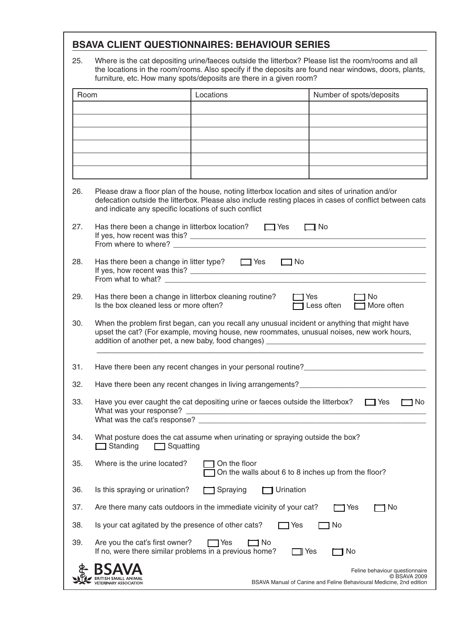25. Where is the cat depositing urine/faeces outside the litterbox? Please list the room/rooms and all the locations in the room/rooms. Also specify if the deposits are found near windows, doors, plants, furniture, etc. How many spots/deposits are there in a given room?

| Room |                                                                                                                                                                                                                                                                  | Locations                                                                                                                                                                                  | Number of spots/deposits                                                                                              |
|------|------------------------------------------------------------------------------------------------------------------------------------------------------------------------------------------------------------------------------------------------------------------|--------------------------------------------------------------------------------------------------------------------------------------------------------------------------------------------|-----------------------------------------------------------------------------------------------------------------------|
|      |                                                                                                                                                                                                                                                                  |                                                                                                                                                                                            |                                                                                                                       |
|      |                                                                                                                                                                                                                                                                  |                                                                                                                                                                                            |                                                                                                                       |
|      |                                                                                                                                                                                                                                                                  |                                                                                                                                                                                            |                                                                                                                       |
|      |                                                                                                                                                                                                                                                                  |                                                                                                                                                                                            |                                                                                                                       |
| 26.  | Please draw a floor plan of the house, noting litterbox location and sites of urination and/or<br>defecation outside the litterbox. Please also include resting places in cases of conflict between cats<br>and indicate any specific locations of such conflict |                                                                                                                                                                                            |                                                                                                                       |
| 27.  | Has there been a change in litterbox location? $\Box$ Yes<br>$\Box$ No                                                                                                                                                                                           |                                                                                                                                                                                            |                                                                                                                       |
| 28.  | Has there been a change in litter type? $\Box$ Yes<br>$\Box$ No<br>From what to what?                                                                                                                                                                            |                                                                                                                                                                                            |                                                                                                                       |
| 29.  | Has there been a change in litterbox cleaning routine?<br>Is the box cleaned less or more often?                                                                                                                                                                 | <b>□ Yes</b>                                                                                                                                                                               | 1 No<br>Less often<br>$\Box$ More often                                                                               |
| 30.  |                                                                                                                                                                                                                                                                  | When the problem first began, can you recall any unusual incident or anything that might have<br>upset the cat? (For example, moving house, new roommates, unusual noises, new work hours, |                                                                                                                       |
| 31.  |                                                                                                                                                                                                                                                                  |                                                                                                                                                                                            |                                                                                                                       |
| 32.  |                                                                                                                                                                                                                                                                  | Have there been any recent changes in living arrangements? ______________________                                                                                                          |                                                                                                                       |
| 33.  |                                                                                                                                                                                                                                                                  | Have you ever caught the cat depositing urine or faeces outside the litterbox?                                                                                                             | コ No<br>$\Box$ Yes                                                                                                    |
| 34.  | Standing<br>Squatting                                                                                                                                                                                                                                            | What posture does the cat assume when urinating or spraying outside the box?                                                                                                               |                                                                                                                       |
| 35.  | Where is the urine located?                                                                                                                                                                                                                                      | On the floor<br>On the walls about 6 to 8 inches up from the floor?                                                                                                                        |                                                                                                                       |
| 36.  | Is this spraying or urination?                                                                                                                                                                                                                                   | Spraying<br>Urination                                                                                                                                                                      |                                                                                                                       |
| 37.  |                                                                                                                                                                                                                                                                  | Are there many cats outdoors in the immediate vicinity of your cat?                                                                                                                        | No<br>1 Yes                                                                                                           |
| 38.  | Is your cat agitated by the presence of other cats?                                                                                                                                                                                                              | 1 Yes                                                                                                                                                                                      | No                                                                                                                    |
| 39.  | Are you the cat's first owner?<br>If no, were there similar problems in a previous home?                                                                                                                                                                         | Yes<br>No.<br>기 Yes                                                                                                                                                                        | No                                                                                                                    |
|      |                                                                                                                                                                                                                                                                  |                                                                                                                                                                                            | Feline behaviour questionnaire<br>© BSAVA 2009<br>BSAVA Manual of Canine and Feline Behavioural Medicine, 2nd edition |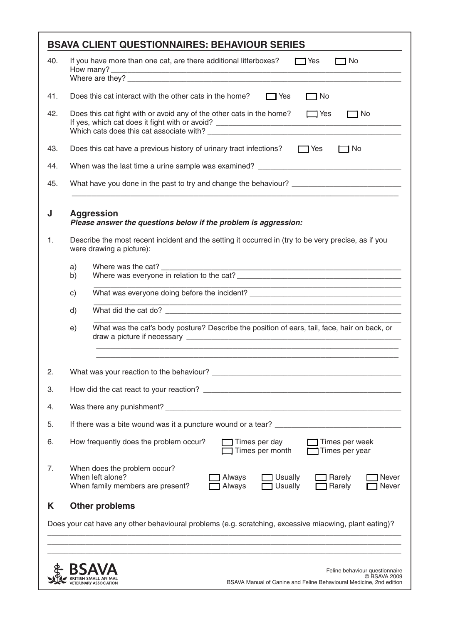|     |                                                                                      | <b>BSAVA CLIENT QUESTIONNAIRES: BEHAVIOUR SERIES</b>                                                                                                                             |  |  |
|-----|--------------------------------------------------------------------------------------|----------------------------------------------------------------------------------------------------------------------------------------------------------------------------------|--|--|
| 40. |                                                                                      | If you have more than one cat, are there additional litterboxes? $\Box$ Yes<br>$\Box$ No                                                                                         |  |  |
| 41. |                                                                                      | Does this cat interact with the other cats in the home?<br>$\Box$ Yes<br>$\Box$ No                                                                                               |  |  |
| 42. |                                                                                      | Does this cat fight with or avoid any of the other cats in the home? $\Box$ Yes<br>$\Box$ No                                                                                     |  |  |
| 43. |                                                                                      | Does this cat have a previous history of urinary tract infections?<br>Tes<br>$\neg$ No                                                                                           |  |  |
| 44. |                                                                                      | When was the last time a urine sample was examined? ____________________________                                                                                                 |  |  |
| 45. |                                                                                      | <u> 1989 - Johann John Stoff, deutscher Stoffen und der Stoffen und der Stoffen und der Stoffen und der Stoffen</u>                                                              |  |  |
| J   | <b>Aggression</b><br>Please answer the questions below if the problem is aggression: |                                                                                                                                                                                  |  |  |
| 1.  |                                                                                      | Describe the most recent incident and the setting it occurred in (try to be very precise, as if you<br>were drawing a picture):                                                  |  |  |
|     | a)<br>b)                                                                             |                                                                                                                                                                                  |  |  |
|     | c)                                                                                   | What was everyone doing before the incident? ___________________________________                                                                                                 |  |  |
|     | d)                                                                                   |                                                                                                                                                                                  |  |  |
|     | e)                                                                                   | What was the cat's body posture? Describe the position of ears, tail, face, hair on back, or<br>,我们也不能在这里的时候,我们也不能在这里的时候,我们也不能会在这里的时候,我们也不能会在这里的时候,我们也不能会在这里的时候,我们也不能会在这里的时候,我们也 |  |  |
| 2.  |                                                                                      |                                                                                                                                                                                  |  |  |
| 3.  | How did the cat react to your reaction?                                              |                                                                                                                                                                                  |  |  |
| 4.  |                                                                                      |                                                                                                                                                                                  |  |  |
| 5.  |                                                                                      | If there was a bite wound was it a puncture wound or a tear?                                                                                                                     |  |  |
| 6.  |                                                                                      | How frequently does the problem occur?<br>Times per day<br>Times per week<br>Times per month<br>Times per year                                                                   |  |  |
| 7.  |                                                                                      | When does the problem occur?<br>When left alone?<br>Always<br>Usually<br>Rarely<br>Never<br>Usually<br>When family members are present?<br>Always<br>Rarely<br>Never             |  |  |
| Κ   |                                                                                      | <b>Other problems</b>                                                                                                                                                            |  |  |
|     |                                                                                      | Does your cat have any other behavioural problems (e.g. scratching, excessive miaowing, plant eating)?                                                                           |  |  |
|     |                                                                                      |                                                                                                                                                                                  |  |  |
|     |                                                                                      |                                                                                                                                                                                  |  |  |
|     |                                                                                      | Feline behaviour questionnaire<br>C BSAVA 2009<br>BSAVA Manual of Canine and Feline Behavioural Medicine, 2nd edition                                                            |  |  |